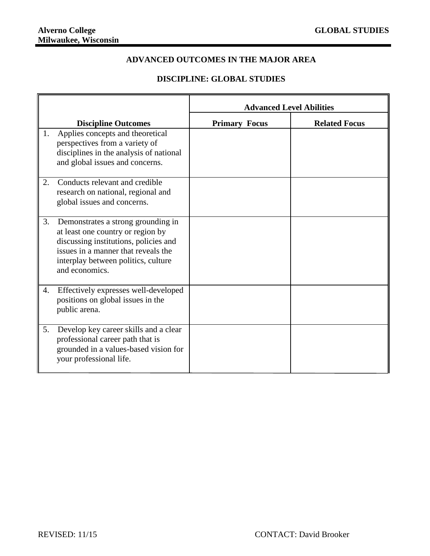## **ADVANCED OUTCOMES IN THE MAJOR AREA**

## **DISCIPLINE: GLOBAL STUDIES**

|    |                                                                                                                                                                                                                  | <b>Advanced Level Abilities</b> |                      |
|----|------------------------------------------------------------------------------------------------------------------------------------------------------------------------------------------------------------------|---------------------------------|----------------------|
|    | <b>Discipline Outcomes</b>                                                                                                                                                                                       | <b>Primary Focus</b>            | <b>Related Focus</b> |
| 1. | Applies concepts and theoretical<br>perspectives from a variety of<br>disciplines in the analysis of national<br>and global issues and concerns.                                                                 |                                 |                      |
| 2. | Conducts relevant and credible<br>research on national, regional and<br>global issues and concerns.                                                                                                              |                                 |                      |
| 3. | Demonstrates a strong grounding in<br>at least one country or region by<br>discussing institutions, policies and<br>issues in a manner that reveals the<br>interplay between politics, culture<br>and economics. |                                 |                      |
| 4. | Effectively expresses well-developed<br>positions on global issues in the<br>public arena.                                                                                                                       |                                 |                      |
| 5. | Develop key career skills and a clear<br>professional career path that is<br>grounded in a values-based vision for<br>your professional life.                                                                    |                                 |                      |